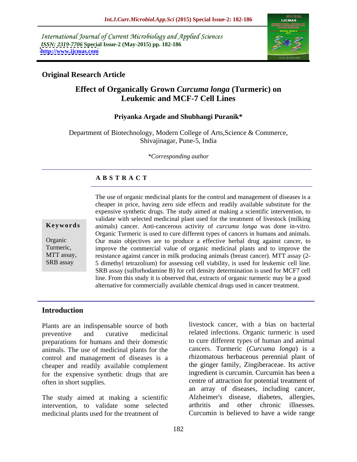International Journal of Current Microbiology and Applied Sciences *ISSN: 2319-7706* **Special Issue-2 (May-2015) pp. 182-186 <http://www.ijcmas.com>**



## **Original Research Article**

# **Effect of Organically Grown** *Curcuma longa* **(Turmeric) on Leukemic and MCF-7 Cell Lines**

#### **Priyanka Argade and Shubhangi Puranik\***

Department of Biotechnology, Modern College of Arts, Science & Commerce, Shivajinagar, Pune-5, India

*\*Corresponding author*

## **A B S T R A C T**

SRB assay

The use of organic medicinal plants for the control and management of diseases is a cheaper in price, having zero side effects and readily available substitute for the expensive synthetic drugs. The study aimed at making a scientific intervention, to validate with selected medicinal plant used for the treatment of livestock (milking animals) cancer. Anti-cancerous activity of *curcuma longa* was done in-vitro. **Ke ywo rds** Organic Turmeric is used to cure different types of cancers in humans and animals. Our main objectives are to produce a effective herbal drug against cancer, to Organic improve the commercial value of organic medicinal plants and to improve the Turmeric, MTT assay, resistance against cancer in milk producing animals (breast cancer). MTT assay (2-5 dimethyl tetrazolium) for assessing cell viability, is used for leukemic cell line. SRB assay (sulforhodamine B) for cell density determination is used for MCF7 cell line. From this study it is observed that, extracts of organic turmeric may be a good alternative for commercially available chemical drugs used in cancer treatment.

#### **Introduction**

Plants are an indispensable source of both preparations for humans and their domestic animals. The use of medicinal plants for the control and management of diseases is a cheaper and readily available complement for the expensive synthetic drugs that are

intervention, to validate some selected arthritis and other chronic illnesses. medicinal plants used for the treatment of Curcumin is believed to have a wide range

preventive and curative medicinal related infections. Organic turmeric is used often in short supplies. centre of attraction for potential treatment of The study aimed at making a scientific Alzheimer's disease, diabetes, allergies, livestock cancer, with a bias on bacterial to cure different types of human and animal cancers. Turmeric (*Curcuma longa*) is a rhizomatous herbaceous perennial plant of the ginger family, Zingiberaceae. Its active ingredient is curcumin. Curcumin has been a an array of diseases, including cancer, Alzheimer's disease, diabetes, allergies, arthritis and other chronic illnesses.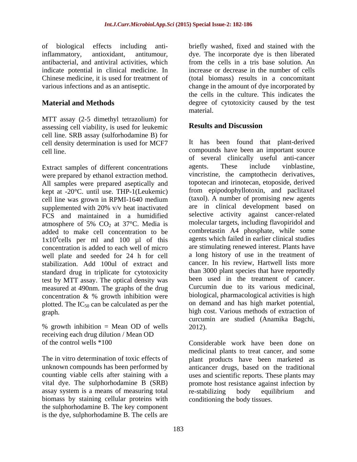indicate potential in clinical medicine. In Chinese medicine, it is used for treatment of

MTT assay (2-5 dimethyl tetrazolium) for assessing cell viability, is used for leukemic cell line. SRB assay (sulforhodamine B) for cell density determination is used for MCF7

were prepared by ethanol extraction method. All samples were prepared aseptically and kept at -20°C. until use. THP-1(Leukemic) supplemented with 20% v/v heat inactivated FCS and maintained in a humidified added to make cell concentration to be concentration is added to each well of micro well plate and seeded for 24 h for cell stabilization. Add 100ul of extract and standard drug in triplicate for cytotoxicity test by MTT assay. The optical density was measured at 490nm. The graphs of the drug concentration & % growth inhibition were plotted. The  $IC_{50}$  can be calculated as per the

% growth inhibition = Mean OD of wells 2012).<br>receiving each drug dilution / Mean OD receiving each drug dilution / Mean OD of the control wells \*100 Considerable work have been done on

assay system is a means of measuring total biomass by staining cellular proteins with the sulphorhodamine B. The key component is the dye, sulphorhodamine B. The cells are

of biological effects including anti-briefly washed, fixed and stained with the inflammatory, antioxidant, antitumour, dye. The incorporate dye is then liberated antibacterial, and antiviral activities, which from the cells in a tris base solution. An various infections and as an antiseptic. change in the amount of dye incorporated by **Material and Methods** degree of cytotoxicity caused by the test dye. The incorporate dye is then liberated from the cells in a tris base solution. An increase or decrease in the number of cells (total biomass) results in a concomitant the cells in the culture. This indicates the material.

# **Results and Discussion**

cell line. compounds have been an important source Extract samples of different concentrations agents. These include vinblastine, cell line was grown in RPMI-1640 medium atmosphere of 5%  $CO<sub>2</sub>$  at 37°C. Media is molecular targets, including flavopiridol and  $1x10^4$ cells per ml and 100  $\mu$ l of this agents which failed in earlier clinical studies extends of extraction of high cost. Various methods of extraction of It has been found that plant-derived of several clinically useful anti-cancer agents. These include vinblastine, vincristine, the camptothecin derivatives, topotecan and irinotecan, etoposide, derived from epipodophyllotoxin, and paclitaxel (taxol). A number of promising new agents are in clinical development based on selective activity against cancer-related molecular targets, including flavopiridol and combretastin A4 phosphate, while some agents which failed in earlier clinical studies are stimulating renewed interest. Plants have a long history of use in the treatment of cancer. In his review, Hartwell lists more than 3000 plant species that have reportedly been used in the treatment of cancer. Curcumin due to its various medicinal, biological, pharmacological activities is high on demand and has high market potential, curcumin are studied (Anamika Bagchi, 2012). Considerable work have been done on

The in vitro determination of toxic effects of plant products have been marketed as unknown compounds has been performed by anticancer drugs, based on the traditional counting viable cells after staining with a uses and scientific reports. These plants may vital dye. The sulphorhodamine B (SRB) promote host resistance against infection by medicinal plants to treat cancer, and some re-stabilizing body equilibrium and conditioning the body tissues.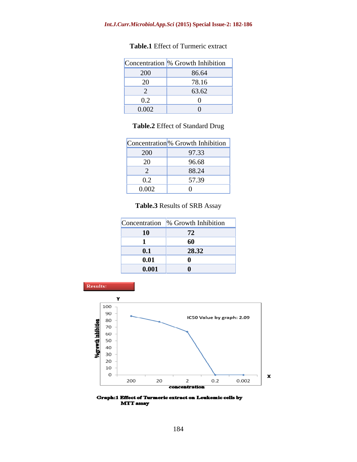|                              | Concentration % Growth Inhibition |
|------------------------------|-----------------------------------|
| 200                          | 86.64                             |
| $\sim$ $\sim$                | 78.16                             |
|                              | 63.62                             |
| $\mathsf{U}.\mathsf{\Delta}$ |                                   |
| 0.002                        |                                   |

## **Table.1** Effect of Turmeric extract

## **Table.2** Effect of Standard Drug

|                              | Concentration <sup>9</sup> % Growth Inhibition |
|------------------------------|------------------------------------------------|
| 200                          | 97.33                                          |
| $\Omega$<br>$\angle U$       | 96.68                                          |
|                              | 88.24                                          |
| $\Omega$<br>$U \cdot \Delta$ | 57.39                                          |
| 0.002                        |                                                |

## **Table.3** Results of SRB Assay

|                                                                    | Concentration $\%$ Growth Inhibition |
|--------------------------------------------------------------------|--------------------------------------|
|                                                                    |                                      |
|                                                                    | 0                                    |
| $\vert 0.1 \vert$                                                  | 29.22<br>40.34                       |
| 0.01                                                               |                                      |
| $\begin{array}{ c c c }\hline \textbf{0.001} \\\hline \end{array}$ |                                      |



Graph:1 Effect of Turmeric extract on Leukemic cells by **MTT** assay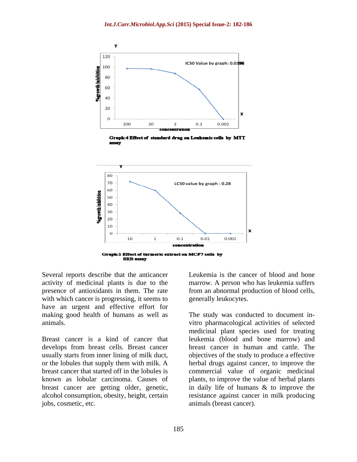

Graph: 4 Effect of standard drug on Leukemic cells by MTT assay



Several reports describe that the anticancer activity of medicinal plants is due to the marrow. A person who has leukemia suffers presence of antioxidants in them. The rate from an abnormal production of blood cells, with which cancer is progressing, it seems to have an urgent and effective effort for

develops from breast cells. Breast cancer jobs, cosmetic, etc. animals (breast cancer).

Leukemia is the cancer of blood and bone generally leukocytes.

making good health of humans as well as The study was conducted to document inanimals. vitro pharmacological activities of selected Breast cancer is a kind of cancer that leukemia (blood and bone marrow) and usually starts from inner lining of milk duct, objectives of the study to produce a effective or the lobules that supply them with milk. A herbal drugs against cancer, to improve the breast cancer that started off in the lobules is commercial value of organic medicinal known as lobular carcinoma. Causes of plants, to improve the value of herbal plants breast cancer are getting older, genetic, in daily life of humans & to improve the alcohol consumption, obesity, height, certain resistance against cancer in milk producing medicinal plant species used for treating breast cancer in human and cattle. The